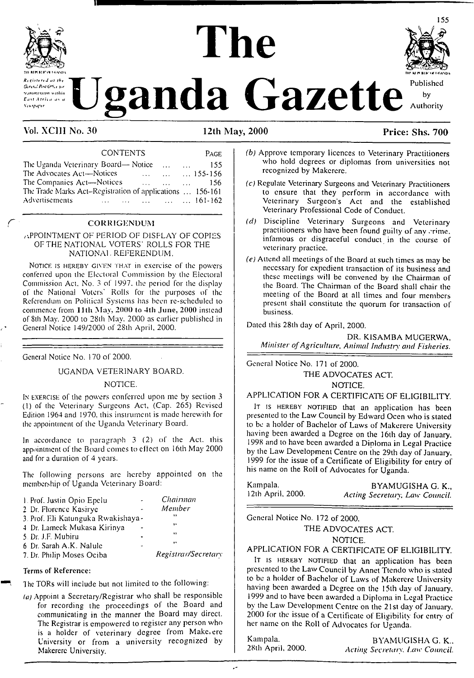# **The**



**Exploration Uganda** Gazette Rublished by Authority

#### Vol. XCIH No. 30 12th May, 2000 Price: Shs. 700

#### CONTENTS Page

II

| The Uganda Veterinary Board— Notice                       |         |          | $\cdots$                         | <b>Alberta College</b> | 155              |
|-----------------------------------------------------------|---------|----------|----------------------------------|------------------------|------------------|
| The Advocates Act-Notices                                 |         | $\sim$ . | $\sim$ $\sim$                    |                        | $\ldots$ 155-156 |
| The Companies Act-Notices                                 |         |          | <b>Since the State Committee</b> |                        | $\ldots$ 156     |
| The Trade Marks Act-Registration of applications  156-161 |         |          |                                  |                        |                  |
| Advertisements                                            | 161-162 |          |                                  |                        |                  |
|                                                           |         |          |                                  |                        |                  |

#### **CORRIGENDUM**

#### APPOINTMENT OF PERIOD OF DISPLAY OF COPIES OF THE NATIONAL VOTERS' ROLLS FOR THE NATIONAL REFERENDUM.

Notice is hereby given that in exercise of the powers conferred upon the Electoral Commission by the Electoral Commission Act. No. 3 of 1997. the period for the display of the National Voters' Rolls for the purposes of the Referendum on Political Systems has been re-schcdulcd to commence from 11th May, 2000 to 4th June, 2000 instead of 8th May. 2000 to 28th May. 2000 as earlier published in General Notice 149/2000 of 28th April, 2000.

General Notice No. 170 of 2000.

UGANDA VETERINARY BOARD.

#### NOTICE.

I<sup>n</sup> exercise of the powers conferred upon me by section 3 (1) of the Veterinary Surgeons Act, (Cap. 265) Revised Edition 1964 and 1970, this instrument is made herewith for the appointment of the Uganda Veterinary Board.

In accordance to paragraph 3 (2) of the Act. this appointment of the Board comes to effect on 16th May 2000 and for a duration of 4 years.

The following persons arc hereby appointed on the membership of Uganda Veterinary Board:

| 1. Prof. Justin Opio Epelu          | Chairman            |
|-------------------------------------|---------------------|
| 2 Dr. Florence Kasirye              | Member              |
| 3. Prof. Eli Katunguka Rwakishaya - | ,,                  |
| 4 Dr. Lameck Mukasa Kirinya         | ٠.                  |
| 5. Dr. J.F. Mubiru                  | ,,                  |
| 6 Dr. Sarah A.K. Nalule             | $, \,$              |
| 7. Dr. Philip Moses Ociba           | Registrar/Secretary |
|                                     |                     |

#### Terms of Reference:

The TORs will include but not limited to the following:

*(a)* Appoint a Secretary/Registrar who shall be responsible for recording the proceedings of the Board and communicating in the manner the Board may direct. The Registrar is empowered to register any person who is a holder of veterinary degree from Make.ere University or from a university recognized by Makerere University.

- *(b)* Approve temporary licences to Veterinary Practitioners who hold degrees or diplomas from universities not recognized by Makcrerc.
- *(c)* Regulate Veterinary Surgeons and Veterinary Practitioners to ensure that they perform in accordance with Veterinary Surgeon's Act and the established Veterinary Professional Code of Conduct.
- *(d)* Discipline Veterinary Surgeons and Veterinary practitioners who have been found guilty of any crime. infamous or disgraceful conduct in the course of veterinary practice.
- *(e)* Attend all meetings of the Board at such times as may be necessary for expedient transaction of its business and these meetings will be convened by the Chairman of the Board. The Chairman of the Board shall chair the meeting of the Board at all times and four members present shall constitute the quorum for transaction of business.

Dated this 28th day of April, 2000.

DR. KISAMBA MUGERWA, *Minister ofAgriculture, Animal Industry and Fisheries.*

General Notice No. 171 of 2000. THE ADVOCATES ACT. NOTICE.

APPLICATION FOR A CERTIFICATE OF ELIGIBILITY.

It is HEREBY NOTIFIED that an application has been presented to the Law Council by Edward Ocen who is slated to be a holder of Bachelor of Laws of Makerere University having been awarded a Degree on the 16th day of January. 1998 and to have been awarded a Diploma in Legal Practice by the Law Development Centre on the 29th day of January. 1999 for the issue of a Certificate of Eligibility for entry of his name on the Roll of Advocates for Uganda.

Kampala. BYAMUGISHA G. K., 12th April, 2000. Acting Secretary. Law Council. 12th April, 2000. *Acting Secretary, Law Council.*

General Notice No. 172 of 2000.

THE ADVOCATES ACT.

NOTICE.

APPLICATION FOR A CERTIFICATE OF ELIGIBILITY.

IT IS HEREBY NOTIFIED that an application has been presented to the Law Council by Annet Ttendo who is stated to be a holder of Bachelor of Laws of Makerere University having been awarded a Degree on the 15th day of January. 1999 and to have been awarded a Diploma in Legal Practice by the Law Development Centre on the 21st day of January. 2000 for the issue of a Certificate of Eligibility for entry of her name on the Roll of Advocates for Uganda.

Kampala. BYAMUGISHA G. K., 28th April, 2000. Acting Secretary, Law Council. 28th April, 2000. *Acting Secretary. Law Council.*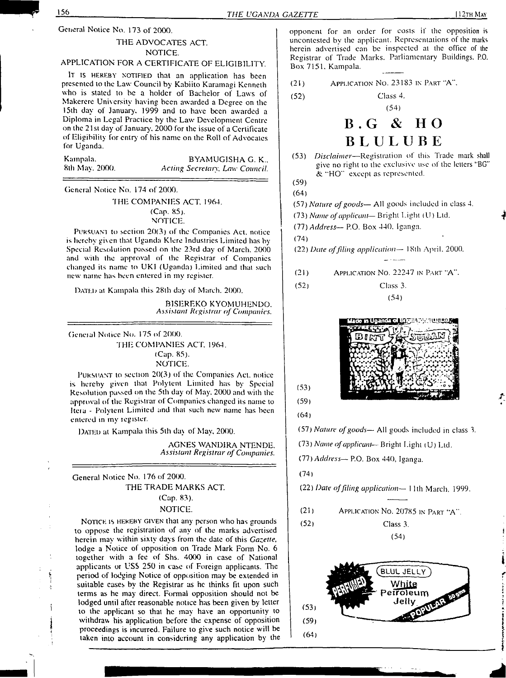General Notice No. 173 of 2000.

#### THE ADVOCATES ACT.

#### NOTICE.

## APPLICATION FOR A CERTIFICATE OF ELIGIBILITY.

It is HEREBY NOTIFIED that an application has been presented to the Law Council by Kabiilo Karamagi Kenneth who is stated to be a holder of Bachelor of Laws of Makerere University having been awarded a Degree on the 15th day of January. 1999 and to have been awarded a Diploma in Legal Practice by the Law Development Centre on the 21st day of January, 2000 for the issue of a Certificate of Eligibility for entry of his name on the Roll of Advocates for Uganda.

| Kampala,       | BYAMUGISHA G. K.,              |
|----------------|--------------------------------|
| 8th May, 2000. | Acting Secretary, Law Council. |

General Notice No. 174 of 2000.

#### THE COMPANIES ACT. 1964. (Cap. 85). NOTICE.

PURSUANT to section 20(3) of the Companies Act, notice is hereby given that Uganda Klere Industries Limited has by Special Resolution passed on the 23rd day of March. 2000 and with the approval of the Registrar of Companies changed its name to UKI (Uganda) Limited and that such new name has been entered in my register.

DATED at Kampala this 28th day of March. 2000.

BISEREKO KYOMUHENDO. *Assistant Registrar of Companies.*

Gcneial Notice No. 175 of 2000. THE COMPANIES ACT, 1964. (Cap. 85).

NOTICE.

Pursuant io section 20(3) of the Companies Act. notice is hereby given that Polytent Limited has by Special Resolution passed on the 5th day of May. 2000 and with lhe approval of the Registrar of Companies changed its name to Itcia - Polytcnl Limited and that such new name has been entered in my register.

DATED at Kampala this 5th day of May, 2000.

AGNES WAND1RA NTENDE, *Assistant Registrar of Companies.*

General Notice No. 176 of 2000. THE TRADE MARKS ACT.

Ą

#### (Cap. 83).

#### NOTICE.

NOTICE IS HEREBY GIVEN that any person who has grounds to oppose the registration of any of the marks advertised herein may within sixty days from the date of this *Gazette,* lodge a Notice of opposition on Trade Mark Form No. 6 together with a fee of Shs. 4000 in case of National applicants or USS 250 in case of Foreign applicants. The period of lodging Notice of opposition may be extended in suitable cases by the Registrar as he thinks fit upon such terms as he may direct. Formal opposition should not be lodged until after reasonable notice has been given by letter to the applicant so that he may have an opportunity to withdraw his application before the expense of opposition proceedings is incurred. Failure to give such notice will be taken into account in considering any application by lhe opponent for an order for costs if the opposition is uncontested by the applicant. Representations of the marks herein advertised can be inspected at the office of the Registrar of Trade Marks. Parliamentary Buildings. P.O. Box 7151. Kampala.

(21) Application No. 23183 in Part 'A'\*.

(52) Class 4. (54)

# **B.G & HO B L U L U B E**

(53) *Disclaimer—*Registration of this Trade mark shall give no right to lhe exclusive use of the letters "BG" & "HO" except as represented.

(59) (64)

(57) *Nature ofgoods—* All goods included in class 4.

- (73) *Name ofapplicant—* Bright Light (U) Ltd.
- (77) *Address—* P.O. Box 440. Iganga.
- (74)

(22) *Date offiling application—* 18th April. 2000.

(21) Application No. 22247 in Part "A".

(52) Class 3.  $(54)$ 



 $(53)$  $(59)$ 

 $(64)$ 

(57) *Nature ofgoods—* All goods included in class 3.

(73) *Name ofapplicant—* Bright Light (U) Ltd.

*Ol) Address—* P.O. Box 440. Iganga.

(74)

(22) *Date offding application—* <sup>1</sup> 1th March. 1999.

- (21) Application No. 20785 in Part "A"
- (52) Class 3. (54)

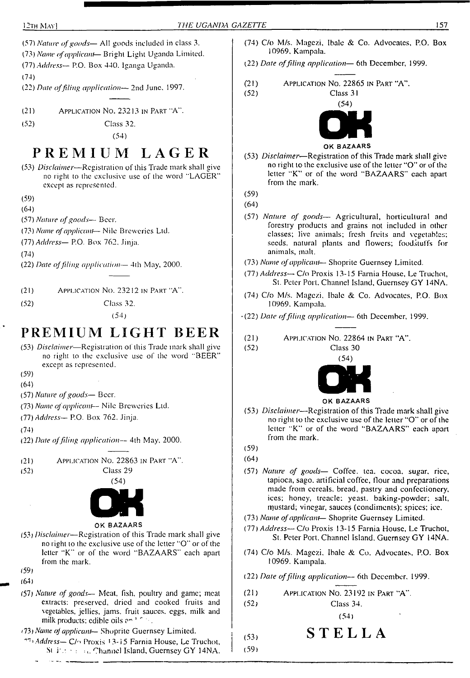(57) *Nature ofgoods—* All goods included in class 3.

(73) *Name ofapplicant*— Bright Light Uganda Limited.

- (77) *Address—* P.O. Box 440. Iganga Uganda.
- (74)

(22) *Date offiling application—* 2nd June. 1997.

(21) Application No. 23213 in Part "A".

(52) Class 32.

(54)

## **PREMIUM LAGER**

(53) *Disclaimer—*Registration of this Trade mark shall give no right to lhe exclusive use of the word "LAGER" except as represented.

(59)

- (64)
- (57) *Nature ofgoods—* Beer.
- (73) *Name ofapplicant* Nile Breweries Ltd.
- (77) *Address—* P.O. Box 762, Jinja.

(74)

- (22) *Date offiling application—* 4ih May, 2000.
- (2<sup>1</sup>) Application No. 23212 in Part "A'[\\*](#page-2-0).
- (52) Class 32.

(54)

## **PREMIUM LIGHT BEER**

- (53) *Disclaimer*—Registration of this Trade mark shall give no right to the exclusive use of lhe word "BEER" except as represented.
- (59)
- (64)
- (57) *Nature ofgoods—* Beer.
- (73) *Name ofapplicant-* Nile Breweries Ltd.
- (77) *Address—* P.O. Box 762. Jinja.

(74)

- (22) *Date offiling application—* 4th May. 2000.
- (21) Application No. 22863 in Part "A".
- 
- (52) Class 29 (54)



#### OK BAZAARS

- (53) *Disclaimer—*Registration of this Trade mark shall give no right to the exclusive use of the letter "O" or of (he letter "K" or of the word "BAZAARS" each apart from the mark.
- (59)
- (64)

سابط المعاملات

- (57) *Nature of goods—* Meat, fish, poultry and game; meat extracts: preserved, dried and cooked fruits and vegetables, jellies, jams, fruit sauces, eggs, milk and milk products: edible oils  $e^{i\pi/2}$ .
- <span id="page-2-0"></span>\*73) *Name of applicant—* Shoprite Guernsey Limited.
- *Address—* C/'\* Proxis 13-i5 Farnia House, Le Truchot, St it.  $\cdots$  : i.e. Channel Island, Guernsey GY 14NA.
- (74) C/o M/s. Magczi, Ibalc & Co. Advocates, P.O. Box 10969. Kampala.
- (22) *Date offiling application—* 6th December, 1999.

(21) Application No. 22865 in Part "A".

$$
(52) \t\text{Class } 31
$$



#### OK BAZAARS

- (53) *Disclaimer*—Registration of this Trade mark shall give no right to the exclusive use of the letter "O" or of the letter "K" or of the word "BAZAARS" each apart from the mark.
- (59)

(64)

- (57) *Nature of goods—* Agricultural, horticultural and forestry products and grains not included in other classes; live animals; fresh fruits and vegetables; seeds, natural plants and flowers; foodstuffs for animals, mall.
- (73) *Name ofapplicant—* Shoprite Guernsey Limited.
- (77) *Address—* C/o Proxis 13-15 Farnia House, Le Truchot, St. Peter Port. Channel Island, Guernsey GY 14NA.
- (74) C/o M/s. Magczi, Ibalc & Co. Advocates, P.O. Box 10969. Kampala.
- (22) *Date offiling application—* 6lh December, 1999.
- (21) Application No. 22864 in Part "A".

Class 30



- OK BAZAARS
- (53) *Disclaimer—*Registration of this Trade mark shall give no right to the exclusive use of the letter "O" or of the letter "K" or of the word "BAZAARS" each apart from (he mark.
- (59)

(52)

- (64)
- (57) *Nature of goods—* Coffee, tea. cocoa, sugar, rice, tapioca, sago, artificial coffee, Hour and preparations made from cereals, bread, pastry and confectionery, ices; honey, treacle: yeast, baking-powder; salt, mustard; vinegar, sauces (condiments); spices; ice.
- (73) *Name ofapplicant—* Shoprite Guernsey Limited.
- (77) *Address—* C/o Proxis 13-15 Farnia House, Le Truchot, St. Peter Port, Channel Island, Guernsey GY 14NA.
- (74) C/o M/s. Magczi. Ibalc & Co. Advocates, P.O. Box 10969. Kampala.
- (22) *Date offiling application—* 6th December. 1999.
- (21) Application No. 23192 in Part "A".
- (52) Class 34. (54)

$$
(53) \hspace{1cm} \textbf{S} \hspace{1cm} \textbf{T} \hspace{1cm} \textbf{E} \hspace{1cm} \textbf{L} \hspace{1cm} \textbf{L} \hspace{1cm} \textbf{A}
$$

(59)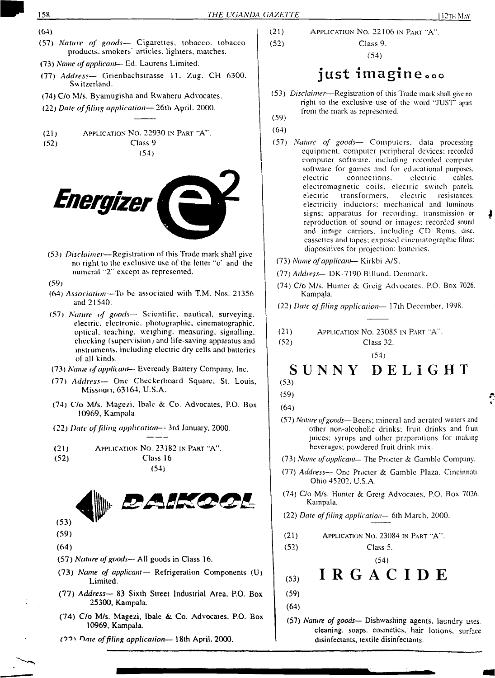- (64)
- (57) *Nature of goods—* Cigarettes, tobacco, tobacco products, smokers' articles, lighters, matches.
- (73) *Name ofapplicant* Ed. Laurens Limited.
- (77) *Address—* Grienbachstrasse 11. Zug. CH 6300. Switzerland.
- (74) C/o M/s. Byamugisha and Rwaheru Advocates.
- (22) *Date offiling application—* 26th April. 2000.
- $(21)$  Application No. 22930 in Part "A". (52) Class 9 (54)



- (53) *Disclaimer—*Registration of this Trade mark shall give no right to the exclusive use of the letter "o' and the numeral "2" except as represented.
- (59)
- (64) *Association—*To be associated with T.M. Nos. 21356 and 21540.
- (57) *Nature of goods—* Scientific, nautical, surveying, electric, electronic, photographic, cinematographic, optical, teaching, weighing, measuring, signalling, checking (supervision) and life-saving apparatus and instruments, including electric dry cells and batteries of all kinds.
- (73) *Name ofapplicant—* Evercady Battery Company, Inc.
- (77) *Address—* One Checkerboard Square, St. Louis, Missouri, 63164, U.S.A.
- (74) C/o M/s. Magezi, Ibalc & Co. Advocates, P.O. Box 10969, Kampala
- (22) *Date offiling application—* 3rd January, 2000.
- (21) Application No. 23182 in Part "A". (52) Class 16 (54)



- (59)
- (64)
- (57) *Nature ofgoods—* All goods in Class 16.
- (73) *Name of applicant—* Refrigeration Components (U) Limited.
- (77) *Address—* 83 Sixth Street Industrial Area. P.O. Box 25300, Kampala.
- (74) C/o M/s. Magezi, Ibalc & Co. Advocates, P.O. Box 10969, Kampala.
- (90' *Hate offiling application—* 18th April, 2000.

(21) (52) APPLICATION No. 22106 IN PART "A". Class 9.

(54)

## just imagine....

- (53) *Disclaimer*—Registration of this Trade mark shall give no (59) right to the exclusive use of the word "JUST \* apart from the mark as represented.
- (64)
- (57) *Nature of goods—* Computers, data processing equipment, computer peripheral devices: recorded computer software, including recorded computer software for games and for educational purposes,<br>electric connections, electric cables. connections. electric cables. electromagnetic coils, electric switch panels, electric transformers, electric resistances, electricity inductors; mechanical and luminous signs: apparatus for recording, transmission or reproduction of sound or images: recorded sound and image carriers, including CD Roms. disc, cassettes and tapes: exposed cinematographic films: diapositives for projection: batteries.
- (73) *Name ofapplicant* Kirkbi A/S.
- (77) *Address—* DK-7190 Billund. Denmark.
- (74) C/o M/s. Hunter & Greig Advocates. P.O. Box 7026. Kampala.
- (22) *Date offiling application—* 17th December. 1998.
- (21) Application No. 23085 in Part "A".
- (52) Class 32.

(54)

#### SUNNY DELIGHT

(53)

- (57) *Nature ofgoods—* Beers; mineral and aerated waters and other non-alcoholic drinks; fruit drinks and fruit juices; syrups and other preparations for making beverages; powdered fruit drink mix.
- (73) *Name ofapplicant—* The Procter & Gamble Company.
- (77) *Address—* One Procter & Gamble Plaza. Cincinnati. Ohio 45202, U.S.A.
- (74) C/o M/s. Hunter & Greig Advocates, P.O. Box 7026. Kampala.
- (22) *Date offiling application—* 6lh March, 2000.
- (21) Application No. 23084 in Part "A".

Class 5. (54)

- IRGACIDE (53)
- (59)

(52)

- (64)
- (57) *Nature of goods—* Dishwashing agents, laundry uses, cleaning, soaps, cosmetics, hair lotions, surface disinfectants, textile disinfectants.

<sup>(59)</sup> (64)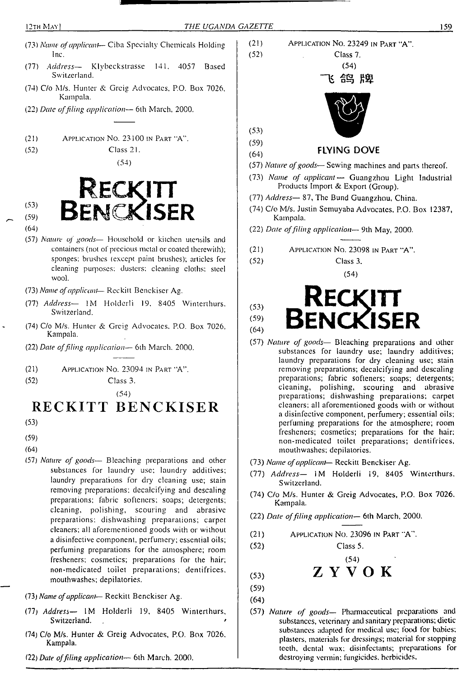- (73) *Name ofapplicant* Ciba Specialty Chemicals Holding Inc.
- (77) *Address—* Klybeckstrasse 141. 4057 Based Switzerland.
- (74) C/o M/s. Hunter & Greig Advocates, P.O. Box 7026, Kampala.
- (22) *Date offiling application—* 6th March, 2000.
- (21) Application No. 23100 in Part "A".
- (52) Class 21.

(64)

(54)



- (57) *Nature of goods—* Household or kitchen utensils and containers (not of precious metal or coated therewith); sponges; brushes (except paint brushes); articles for cleaning purposes; dusters; cleaning cloths: steel wool.
- (73) *Name ofapplicant* Reckitt Benckiser Ag.
- (77) *Address—* IM Holderli 19. 8405 Winlcrthurs. Switzerland.
- (74) C/o M/s. Hunter & Greig Advocates, P.O. Box 7026, Kampala.
- (22) *Date offiling application—* 6th March. 2000.
- (21) Application No. 23094 in Part 'A".
- (52) Class 3.

## (54) **RECKITT BENCKISER**

- (53)
- (59)
- (64)
- (57) *Nature of goods—* Bleaching preparations and other substances for laundry use; laundry additives; laundry preparations for dry cleaning use; stain removing preparations; decalcifying and descaling preparations; fabric softeners; soaps; detergents; cleaning, polishing, scouring and abrasive preparations: dishwashing preparations; carpet cleaners; all aforementioned goods with or without a disinfective component, perfumery; essential oils; perfuming preparations for the atmosphere; room fresheners; cosmetics; preparations for the hair; non-medicated toilet preparations; dentifrices, mouthwashes; depilatories.
- (73) *Name ofapplicant-—* Reckitt Benckiser Ag.
- (77) *Address—* IM Holderli 19, 8405 Wintenhurs, Switzerland.
- (74) C/o M/s. Hunter & Greig Advocates, P.O. Box 7026. Kampala.
- (22) *Dale offiling application—* 6th March. 2000.
- (21) Application No. 23249 in Part "A". (52) Class 7.  $(54)$ 鸽牌 (53) (59) (64) **FLYING DOVE** (57) *Nature ofgoods—* Sewing machines and pans thereof.
- (73) *Name of applicant—* Guangzhou Light Industrial Products Import & Export (Group).
- (77) *Address—* 87, The Bund Guangzhou, China.
- (74) C/o M/s. Justin Semuyaba Advocates, P.O. Box 12387, Kampala.
- (22) *Date offiling application—* 9th May, 2000.
- (21) Application No. 23098 in Part "A".
- (52) Class 3.



- (57) *Nature of goods—* Bleaching preparations and other substances for laundry use; laundry additives; laundry preparations for dry cleaning use; stain removing preparations; decalcifying and descaling preparations; fabric softeners; soaps; detergents; cleaning, polishing, scouring and abrasive preparations; dishwashing preparations; carpet cleaners; all aforementioned goods with or without a disinfective component, perfumery; essential oils; perfuming preparations for the atmosphere; room fresheners; cosmetics; preparations for the hair; non-medicated toilet preparations; dentifrices, mouthwashes; depilatories.
- (73) *Name ofapplicant—* Reckitt Benckiser Ag.
- (77) *Address—* IM Holderli 19, 8405 Winlcrthurs. Switzerland.
- (74) C/o M/s. Hunter & Greig Advocates, P.O. Box 7026. Kampala.
- (22) *Date offiling application—* 6th March, 2000.
- $(21)$  Application No. 23096 in Part  $A^T$ .
	- Class 5. (54)

$$
Z Y V O K
$$

(53) (59)

(52)

- (64)
- (57) *Nature of goods—* Pharmaceutical preparations and substances, veterinary and sanitary preparations; dietic substances adapted for medical use; food for babies; plasters, materials for dressings; material for stopping teeth, dental wax; disinfectants; preparations for destroying vermin; fungicides, herbicides.

<sup>(54)</sup>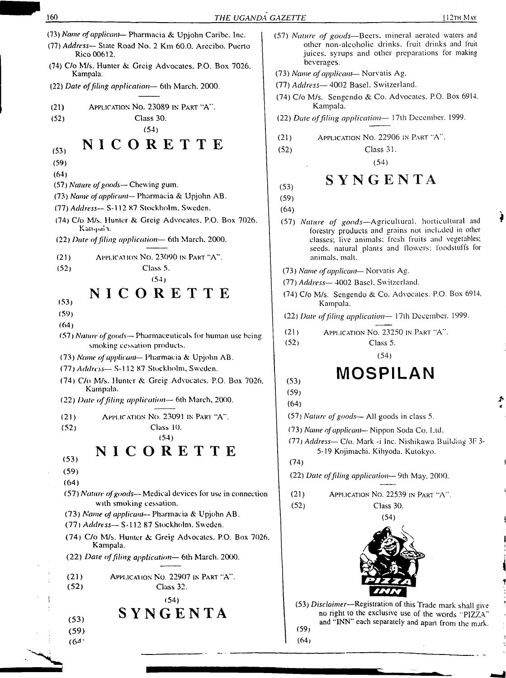- (75) *Name ofapplicant—* Pharmacia & Upjohn Caribe. Inc.
- (77) *Address—* Slate Road No. 2 Kin 60.0. Arecibo. Puerto Rico 00612.
- (74) C/o M/s. Hunter &. Greig Advocates. P.O. Box 7026. Kampala.
- (22) *Date offiling application—* 6th March. 2000.
- (21) Application No. 23089 in Part "A". (52) Class 30. (54)

## **(53} NICORETTE**

- (59)
- (64)
- (57) *Nature ofgoods—* Chewing gum.
- (73) *Name of applicant* Pharmacia & Upjohn AB.
- (77) *Address—* S-l 12 87 Stockholm, Sweden.
- (74) C/o M/s. Hunter & Greig Advocates, P.O. Box 7026. Kampdh.
- (22) *Date offiling application—* 6th March. 2000.
- (21) Application No. 23090 in Part "A".
- (52) Class 5.

#### (54) **NICORETTE**

- (53)
- (59)
- (64)
- (57) *Nature ofgoods—* Pharmaceuticals for human use being smoking cessation products.
- (73) *Name ofapplicant* Pharmacia & Upjohn AB.
- (77) *Address—* S-l 12 87 Stockholm. Sweden.
- (74) C/o M/s. Hunter Greig Advocates. P.O. Box 7026. Kampala.
- (22) *Date offiling application—* 6th March, 2000.
- (21) Application No. 23091 in Part "A".
- (52) Class 10.

(54)

## **NICORETTE**

- (53) (59)
- (64)
- (57) *Nature ofgoods—* Medical devices for use in connection with smoking cessation.
- (73) *Name of applicant* Pharmacia & Upjohn AB.
- (77) *Address—* S-l 12 87 Stockholm. Sweden.
- (74) C/o M/s. Hunter & Greig Advocates. P.O. Box 7026. Kampala.
- (22) *Date offiling application—* 6lh March. 2000.
- (21) Application No 22907 in Part "A". (52) Class 32.
	- <sup>i</sup> (54)

# **: (53) SYNGENTA**

- (59)
- $(64)$
- (57) *Nature of goods—*Beers, mineral aerated waters and other non-alcoholic drinks, fruit drinks and fruit juices, syrups and other preparations for making beverages.
- (73) *Name ofapplicant* Norvatis Ag.
- (77) *Address—* 4002 Basel. Switzerland.
- (74) C/o M/s. Sengendo & Co. Advocates, P.O. Box 6914. Kampala.
- (22) *Date offiling application—* <sup>1</sup>7th December. 1999.
- (21) Application No. 22906 in Part "A".
- (52) Class 31.
	- (54)

## **(53) SYNGENTA**

- (59)
- (64)
- (57) *Nature of goods—*Agricultural, horticultural and forestry products and grains not included in other classes; live animals; fresh fruits and vegetables; seeds, natural plants and Howers; foodstuffs for animals, mall.
- (73) *Name ofapplicant-* Norvatis Ag.
- (77) *Address—* 4002 Basel. Switzerland.
- (74) C/o M/s. Sengendo & Co. Advocates. P.O. Box 6914, Kampala.
- (22) *Dare offiling application—* 17lh December. 1999.
- (21) Application No. 23250 in Part "A". (52) Class 5.

(54)

# $\overline{\mathsf{MOSPILAN}}$

- (59)
- (64)

(57) *Nature ofgoods—* All goods in class 5.

(73) *Name ofapplicant*— Nippon Soda Co. Ltd.

- (77) *Address—* C/o. Mark -i Inc. Nishikawa Building 3F 3- 5-19 Kojimachi. Kihyoda. Kutokyo.
- (74)

(22) *Date offiling application—* 9th May. 2000.

(21) Application No. 22539 in Part "A".





(53) *Disclaimer*—Registration of this Trade mark shall give no right to the exclusive use of the words "PIZZA" and "INN" each separately and apan from the mark. (59)

 $(64)$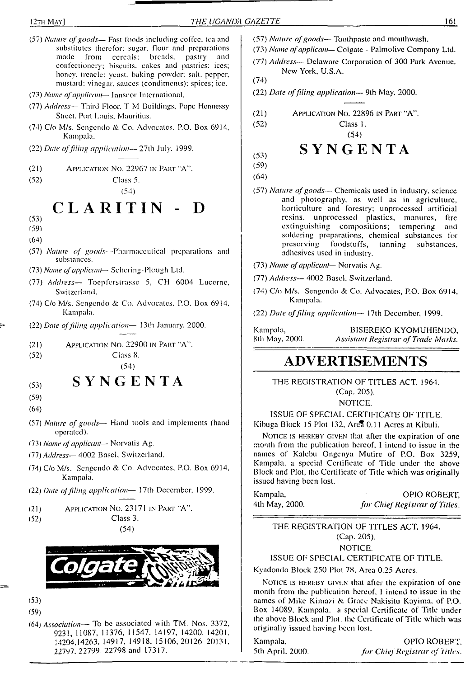- (57) *Nature ofgoods—* Fast (bods including coffee, tea and substitutes therefor; sugar, flour and preparations<br>made from cercals; breads, pastry and breads, pastry confectionery; biscuits, cakes and pastries: ices; honey, treacle: yeast, baking powder; salt, pepper, mustard: vinegar, sauces (condiments); spices; ice. (73) *Nome ofapplicant*— Innscor International.
- (77) *Address—* Third Floor. T M Buildings, Pope Hennessy Street. Port Louis. Mauritius.
- (74) C/o M/s. Scngendo & Co. Advocates, P.O. Box 6914, Kampala.
- (22) *Date offling application—* 27lh July. 1999.
- (21) Application No. 22967 in Part "A".

(52) Class 5.

(54)

 $CLARITIN$ 

- (53)
- 159)
- (64)
- (57) *Nature of goods—*Pharmaceutical preparations and substances.
- (73) *Name ofapplicant* Schcring-Plough Ltd.
- (77) *Address* Toepferstrasse 5, CH 6004 Lucerne, Switzerland.
- (74) C/o M/s. Scngendo & Co. Advocates. P.O. Box 6914. Kampala.
- (22) *Dale offiling application—* 13lh January. 2000.
- (21) Application No. 22900 in Part "A".
	- Class 8.

#### **SYNGENTA**  $(53)$

(59)

 $(52)$ 

- (64)
- (57) *Nature of goods—* Hand tools and implements (hand operated).
- 173) *Name ofapplicant—* Norvatis Ag.
- (77) *Address-* <sup>4002</sup> Basci. Switzerland.
- (74) C/o M/s. Scngendo & Co. Advocates. P.O. Box 6914, Kampala.
- (22) *Date offiling application—* 17th December, 1999.
- (21) Application No. 23171 in Part "A".
- (52) Class 3. (54)



- (53) (59)
- 164) *Association—* To be associated with TM. Nos. 3372, 9231, 11087, 11376, 11547. 14197, 14200. 14201. 14204.14263, 14917, 14918. 15106, 20126. 20131. 22797. 22799. 22798 and 17317.
- (57) *Nature ofgoods—* Toothpaste and mouthwash.
- (73) *Name ofapplicant—* Colgate Palmolive Company Ltd.
- (77) *Address—* Delaware Corporation of 300 Park Avenue, New York, U.S.A.

(74)

(52)

- (22) *Date offiling application—* 9th May, 2000.
- Application No. 22896 in Part "A". (21)

Class 1.

## **SYNGENTA**

(54)

(53) (59)

(64)

- (57) *Nature ofgoods—* Chemicals used in industry. science and photography, as well as in agriculture, horticulture and forestry; unprocessed artificial resins, unprocessed plastics, manures, fire extinguishing compositions; tempering and soldering preparations, chemical substances for<br>preserving foodstuffs, tanning substances. preserving foodstuffs, adhesives used in industry.
- (73) *Name ofapplicant* Norvatis Ag.
- (77) *Address—* 4002 Basel. Switzerland.
- (74) C/o M/s. Scngendo *& Co.* Advocates, P.O. Box 6914. Kampala.
- (22) *Date offding application—* I7th December, 1999.

Kampala, BISEREKO KYOMUHENDO,<br>8th May, 2000. Assistant Registrar of Trade Marks. 8th May, 2000. *Assistant Registrar of Trade Marks.*

## (54) **ADVERTISEMENTS**

THE REGISTRATION OF TITLES ACT. 1964. (Cap. 205).

NOTICE.

ISSUE OF SPECIAL CERTIFICATE OF TITLE. Kibuga Block 15 Plot 132, Area 0.11 Acres at Kibuli.

NOTICE IS HEREBY GIVEN that after the expiration of one month from the publication hereof, I intend to issue in the names of Kalebu Ongenya Mutire of P.O. Box 3259, Kampala, a special Certificate of Title under the above Block and Plot, the Certificate of Title which was originally issued having been lost.

Kampala, OPIO ROBERT, 4th May, 2000. *for ChiefRegistrar of Titles.*

THE REGISTRATION OF TITLES ACT. 1964. (Cap. 205). NOTICE.

ISSUE OF SPECIAL CERTIFICATE OF TITLE.

Kyadondo Block 250 Plot 78. Area 0.25 Acres.

NOTICE IS HEREBY GIVEN that after the expiration of one month from the publication hereof. <sup>1</sup> intend to issue in the names of Mike Kimazi & Grace Nakisitu Kayima. of P.O. Box 14089. Kampala, a special Certificate of Title under the above Block and Plot, the Certificate of Title which was originally issued having been lost.

Kampala. OPIO ROBERT. 5th April, 2000. *for ChieJ Registrar of titles.*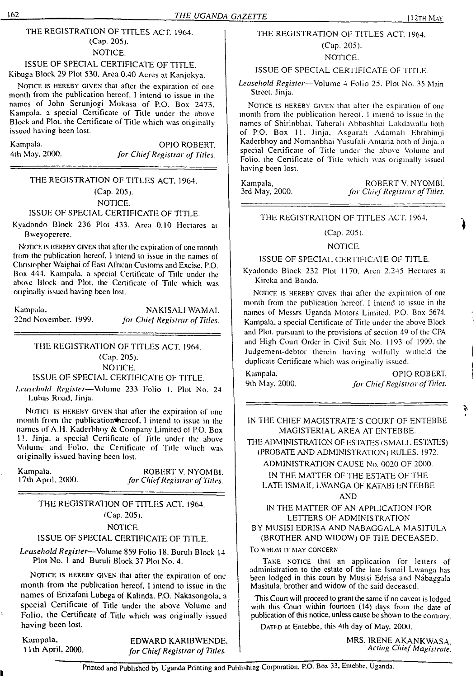#### THE REGISTRATION OF TITLES ACT. 1964. (Cap. 205). NOTICE.

#### ISSUE OF SPECIAL CERTIFICATE OF TITLE. Kibuga Block 29 Plot 530. Area 0.40 Acres al Kanjokya.

NOTICE IS HEREBY GIVEN that after the expiration of one month from the publication hereof. I intend to issue in the names of John Scrunjogi Mukasa of P.O. Box 2473. Kampala, a special Certificate of Title under the above Block and Plot, the Certificate of Title which was originally issued having been lost.

Kampala. OPIO ROBERT. 4th May. 2000. *for ChiefRegistrar of Titles.*

#### THE REGISTRATION OF TITLES ACT. 1964. (Cap. 205). NOTICE.

#### ISSUE OF SPECIAL CERTIFICATE OF TITLE.

Kyadondo Block 236 Plot 433. Area 0.10 Hectares at Bwcyogcrcre.

Notice is hereby given that after the expiration of one month from the publication hereof, <sup>1</sup> intend to issue in the names of Christopher Waighai of East African Customs and Excise. P.O. Box 444. Kampala, a special Certificate of Title under the above Block and Plot, the Certificate of Title which was originally issued having been lost.

Kampala. NAKISALI WAMAI.<br>22nd November, 1999. *for Chief Registrar of Titles* 22nd November. 1999. *for Chief Registrar of Titles.*

## THE REGISTRATION OF TITLES ACT. 1964. (Cap. 205).

NOTICE.

#### ISSUE OF SPECIAL CERTIFICATE OF TITLE.

*Leasehold Register—*Volume 233 Folio 1. Plot No. 24 Lubas Road. Jinja.

NOTICI IS HEREBY GIVEN that after the expiration of one month from the publication hereof. I intend to issue in the names of A.H. Kaderbhoy & Company Limited of P.O. Box IL Jinja. a special Certificate of Title under the above Volume and Folio, the Certificate of Title which was originally issued having been lost.

Kampala. ROBERT V. NYOMBI.<br>17th April, 2000. *for Chief Registrar of Titles.* <sup>1</sup>7th April. 2(XX). *for ChiefRegistrar ofTitles.*

#### THE REGISTRATION OF TITLES ACT, 1964. (Cap. 205).

#### NOTICE.

#### ISSUE OF SPECIAL CERTIFICATE OF TITLE.

*Leasehold Register*—Volume 859 Folio 18. Buruh Block 14 Plot No. <sup>1</sup> and Buruli Block 37 Plot No. 4.

NOTICE IS HEREBY GIVEN that after the expiration of one month from the publication hereof. <sup>1</sup> intend to issue in the names of Erizafani Lubega of Kalinda. P.O. Nakasongola. a special Certificate of Title under the above Volume and Folio, the Certificate of Title which was originally issued having been lost.

Kampala, EDWARD KARIBWENDE.<br>11th April, 2000. *for Chief Registrar of Titles.* **<sup>11</sup> th April, 2000.** *for ChiefRegistrar of Titles.*

#### THE REGISTRATION OF TITLES ACT. 1964. (Cap. 205).

#### NOTICE.

#### ISSUE OF SPECIAL CERTIFICATE OF TITLE.

*Leasehold Register—*Volume 4 Folio 25. Plot No. 35 Main Street. Jinja.

NOTICE IS HEREBY GIVEN that after the expiration of one month from the publication hereof. <sup>I</sup> intend to issue in the names of Shirinbhai. Tahcrali Abbasbhai Lakdawalla both of P.O. Box 11. Jinja. Asgarali Adamali Ebrahimji Kaderbhoy and Nomanbhai Yusufali Antaria both of Jinja. a special Certificate of Title under the above Volume and Folio, the Certificate of Title which was originally issued having been lost.

Kampala, ROBERT V. NYOMBl, 3rd May, 2000. *for Chief Registrar of Titles.* 3rd May, 2000. *for ChiefRegistrar of Titles.*

THE REGISTRATION OF TITLES ACT. 1964.

### (Cap. 205).

#### NOTICE.

#### ISSUE OF SPECIAL CERTIFICATE OF TITLE.

Kyadondo Block 232 Plot 1170. Area 2.245 Hectares at Kireka and Banda.

NOTICE IS HEREBY GIVEN that after the expiration of one month from the publication hereof. <sup>1</sup> intend to issue in the names of Messrs Uganda Motors Limited. P.O. Box 5674. Kampala, a special Certificate of Title under the above Block and Plot, pursuant to the provisions of section 49 of the CPA and High Court Order in Civil Suit No. 1193 of 1999. the Judgement-debtor therein having wilfully withold the duplicate Certificate which was originally issued.

Kampala. 9th May. 2000.

OPIO ROBERT. *for ChiefRegistrar ofTitles.*

r,

IN THE CHIEF MAGISTRATE'S COURT OF ENTEBBE MAGISTERIAL AREA AT ENTEBBE.

THE ADMINISTRATION OF ESTATES (SMALL ESTATES) (PROBATE AND ADMINISTRATION) RULES. 1972.

ADMINISTRATION CAUSE No. 0020 OF 2000. IN THE MATTER OF THE ESTATE OF THE

LATE ISMAIL LWANGA OF KATABI ENTEBBE AND

IN THE MATTER OF AN APPLICATION FOR LETTERS OF ADMINISTRATION BY MUSISI EDRISA AND NABAGGALA MASITULA

(BROTHER AND WIDOW) OF THE DECEASED.

#### To WHOM IT MAY CONCERN

TAKE NOTICE that an application for letters of administration to the estate of the late Ismail Lwanga has been lodged in this court by Musisi Edrisa and Nabaggala Masitula, brother and widow of the said deceased.

This Court will proceed to grant the same if no caveat is lodged with this Court within fourteen (14) days from the date of publication of this notice, unless cause be shown to the contrary.

DATED at Entebbe, this 4th day of May, 2000.

MRS. IRENE AKANKWASA. *Acting ChiefMagistrate.*

Printed and Published bj Uganda Printing and Publishing Corporation. P.O. Box 33, Entebbe. Uganda.